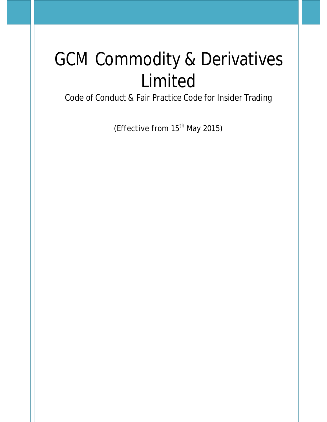# GCM Commodity & Derivatives Limited

Code of Conduct & Fair Practice Code for Insider Trading

(Effective from 15<sup>th</sup> May 2015)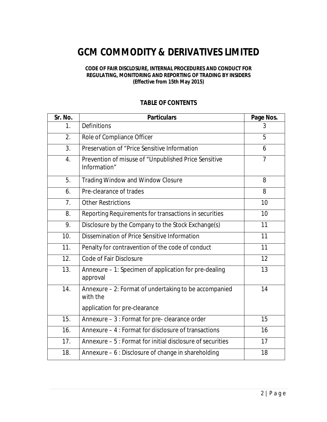# **GCM COMMODITY & DERIVATIVES LIMITED**

#### **CODE OF FAIR DISCLOSURE, INTERNAL PROCEDURES AND CONDUCT FOR REGULATING, MONITORING AND REPORTING OF TRADING BY INSIDERS (Effective from 15th May 2015)**

# **TABLE OF CONTENTS**

| Sr. No. | <b>Particulars</b>                                                   | Page Nos.      |
|---------|----------------------------------------------------------------------|----------------|
| 1.      | <b>Definitions</b>                                                   | 3              |
| 2.      | Role of Compliance Officer                                           | 5              |
| 3.      | Preservation of "Price Sensitive Information                         | 6              |
| 4.      | Prevention of misuse of "Unpublished Price Sensitive<br>Information" | $\overline{7}$ |
| 5.      | <b>Trading Window and Window Closure</b>                             | 8              |
| 6.      | Pre-clearance of trades                                              | 8              |
| 7.      | <b>Other Restrictions</b>                                            | 10             |
| 8.      | Reporting Requirements for transactions in securities                | 10             |
| 9.      | Disclosure by the Company to the Stock Exchange(s)                   | 11             |
| 10.     | Dissemination of Price Sensitive Information                         | 11             |
| 11.     | Penalty for contravention of the code of conduct                     | 11             |
| 12.     | <b>Code of Fair Disclosure</b>                                       | 12             |
| 13.     | Annexure - 1: Specimen of application for pre-dealing<br>approval    | 13             |
| 14.     | Annexure - 2: Format of undertaking to be accompanied<br>with the    | 14             |
|         | application for pre-clearance                                        |                |
| 15.     | Annexure - 3 : Format for pre- clearance order                       | 15             |
| 16.     | Annexure – 4 : Format for disclosure of transactions                 | 16             |
| 17.     | Annexure – 5 : Format for initial disclosure of securities           | 17             |
| 18.     | Annexure – 6 : Disclosure of change in shareholding                  | 18             |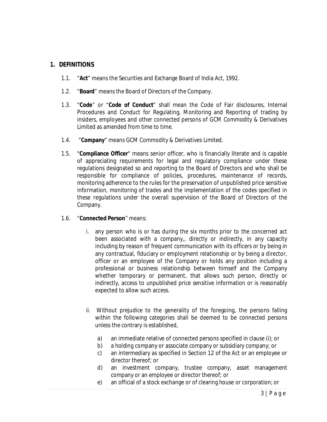# **1. DEFINITIONS**

- 1.1. "**Act**" means the Securities and Exchange Board of India Act, 1992.
- 1.2. "**Board**" means the Board of Directors of the Company.
- 1.3. "**Code**" or "**Code of Conduct**" shall mean the Code of Fair disclosures, Internal Procedures and Conduct for Regulating, Monitoring and Reporting of trading by insiders, employees and other connected persons of GCM Commodity & Derivatives Limited as amended from time to time.
- 1.4. "**Company**" means GCM Commodity & Derivatives Limited.
- 1.5. "**Compliance Officer**" means senior officer, who is financially literate and is capable of appreciating requirements for legal and regulatory compliance under these regulations designated so and reporting to the Board of Directors and who shall be responsible for compliance of policies, procedures, maintenance of records, monitoring adherence to the rules for the preservation of unpublished price sensitive information, monitoring of trades and the implementation of the codes specified in these regulations under the overall supervision of the Board of Directors of the Company.

#### 1.6. "**Connected Person**" means:

- i. any person who is or has during the six months prior to the concerned act been associated with a company,, directly or indirectly, in any capacity including by reason of frequent communication with its officers or by being in any contractual, fiduciary or employment relationship or by being a director, officer or an employee of the Company or holds any position including a professional or business relationship between himself and the Company whether temporary or permanent, that allows such person, directly or indirectly, access to unpublished price sensitive information or is reasonably expected to allow such access.
- ii. Without prejudice to the generality of the foregoing, the persons falling within the following categories shall be deemed to be connected persons unless the contrary is established,
	- a) an immediate relative of connected persons specified in clause (i); or
	- b) a holding company or associate company or subsidiary company; or
	- c) an intermediary as specified in Section 12 of the Act or an employee or director thereof; or
	- d) an investment company, trustee company, asset management company or an employee or director thereof; or
	- e) an official of a stock exchange or of clearing house or corporation; or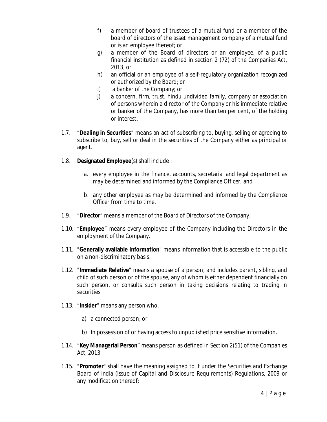- f) a member of board of trustees of a mutual fund or a member of the board of directors of the asset management company of a mutual fund or is an employee thereof; or
- g) a member of the Board of directors or an employee, of a public financial institution as defined in section 2 (72) of the Companies Act, 2013; or
- h) an official or an employee of a self-regulatory organization recognized or authorized by the Board; or
- i) a banker of the Company; or
- j) a concern, firm, trust, hindu undivided family, company or association of persons wherein a director of the Company or his immediate relative or banker of the Company, has more than ten per cent, of the holding or interest.
- 1.7. "**Dealing in Securities**" means an act of subscribing to, buying, selling or agreeing to subscribe to, buy, sell or deal in the securities of the Company either as principal or agent.
- 1.8. **Designated Employee**(s) shall include :
	- a. every employee in the finance, accounts, secretarial and legal department as may be determined and informed by the Compliance Officer; and
	- b. any other employee as may be determined and informed by the Compliance Officer from time to time.
- 1.9. "**Director**" means a member of the Board of Directors of the Company.
- 1.10. "**Employee**" means every employee of the Company including the Directors in the employment of the Company.
- 1.11. "**Generally available Information**" means information that is accessible to the public on a non-discriminatory basis.
- 1.12. "**Immediate Relative**" means a spouse of a person, and includes parent, sibling, and child of such person or of the spouse, any of whom is either dependent financially on such person, or consults such person in taking decisions relating to trading in securities
- 1.13. "**Insider**" means any person who,
	- a) a connected person; or
	- b) In possession of or having access to unpublished price sensitive information.
- 1.14. "**Key Managerial Person**" means person as defined in Section 2(51) of the Companies Act, 2013
- 1.15. "**Promoter**" shall have the meaning assigned to it under the Securities and Exchange Board of India (Issue of Capital and Disclosure Requirements) Regulations, 2009 or any modification thereof: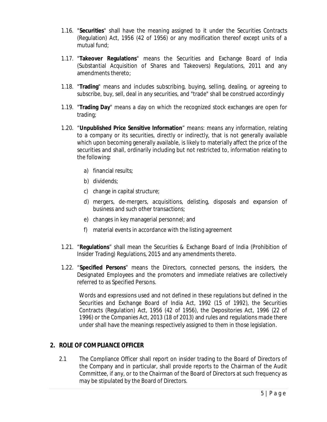- 1.16. "**Securities**" shall have the meaning assigned to it under the Securities Contracts (Regulation) Act, 1956 (42 of 1956) or any modification thereof except units of a mutual fund;
- 1.17. "**Takeover Regulations**" means the Securities and Exchange Board of India (Substantial Acquisition of Shares and Takeovers) Regulations, 2011 and any amendments thereto;
- 1.18. "**Trading**" means and includes subscribing, buying, selling, dealing, or agreeing to subscribe, buy, sell, deal in any securities, and "trade" shall be construed accordingly
- 1.19. "**Trading Day**" means a day on which the recognized stock exchanges are open for trading;
- 1.20. "**Unpublished Price Sensitive Information**" means: means any information, relating to a company or its securities, directly or indirectly, that is not generally available which upon becoming generally available, is likely to materially affect the price of the securities and shall, ordinarily including but not restricted to, information relating to the following:
	- a) financial results;
	- b) dividends;
	- c) change in capital structure;
	- d) mergers, de-mergers, acquisitions, delisting, disposals and expansion of business and such other transactions;
	- e) changes in key managerial personnel; and
	- f) material events in accordance with the listing agreement
- 1.21. "**Regulations**" shall mean the Securities & Exchange Board of India (Prohibition of Insider Trading) Regulations, 2015 and any amendments thereto.
- 1.22. "**Specified Persons**" means the Directors, connected persons, the insiders, the Designated Employees and the promoters and immediate relatives are collectively referred to as Specified Persons.

Words and expressions used and not defined in these regulations but defined in the Securities and Exchange Board of India Act, 1992 (15 of 1992), the Securities Contracts (Regulation) Act, 1956 (42 of 1956), the Depositories Act, 1996 (22 of 1996) or the Companies Act, 2013 (18 of 2013) and rules and regulations made there under shall have the meanings respectively assigned to them in those legislation.

# **2. ROLE OF COMPLIANCE OFFICER**

2.1 The Compliance Officer shall report on insider trading to the Board of Directors of the Company and in particular, shall provide reports to the Chairman of the Audit Committee, if any, or to the Chairman of the Board of Directors at such frequency as may be stipulated by the Board of Directors.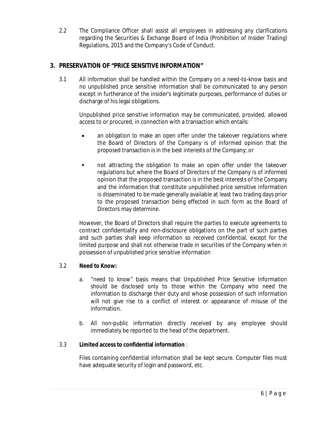2.2 The Compliance Officer shall assist all employees in addressing any clarifications regarding the Securities & Exchange Board of India (Prohibition of Insider Trading) Regulations, 2015 and the Company's Code of Conduct.

# **3. PRESERVATION OF "PRICE SENSITIVE INFORMATION"**

3.1 All information shall be handled within the Company on a need-to-know basis and no unpublished price sensitive information shall be communicated to any person except in furtherance of the insider's legitimate purposes, performance of duties or discharge of his legal obligations.

Unpublished price sensitive information may be communicated, provided, allowed access to or procured, in connection with a transaction which entails:

- an obligation to make an open offer under the takeover regulations where the Board of Directors of the Company is of informed opinion that the proposed transaction is in the best interests of the Company; or
- not attracting the obligation to make an open offer under the takeover regulations but where the Board of Directors of the Company is of informed opinion that the proposed transaction is in the best interests of the Company and the information that constitute unpublished price sensitive information is disseminated to be made generally available at least two trading days prior to the proposed transaction being effected in such form as the Board of Directors may determine.

However, the Board of Directors shall require the parties to execute agreements to contract confidentiality and non-disclosure obligations on the part of such parties and such parties shall keep information so received confidential, except for the limited purpose and shall not otherwise trade in securities of the Company when in possession of unpublished price sensitive information

# 3.2 **Need to Know:**

- a. "need to know" basis means that Unpublished Price Sensitive Information should be disclosed only to those within the Company who need the information to discharge their duty and whose possession of such information will not give rise to a conflict of interest or appearance of misuse of the information.
- b. All non-public information directly received by any employee should immediately be reported to the head of the department.

# 3.3 **Limited access to confidential information** :

Files containing confidential information shall be kept secure. Computer files must have adequate security of login and password, etc.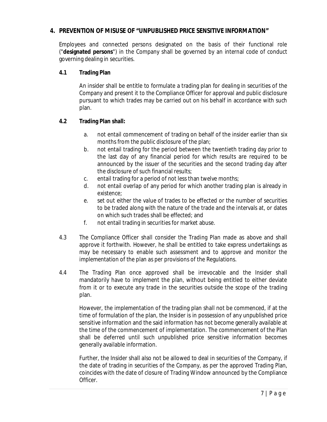# **4. PREVENTION OF MISUSE OF "UNPUBLISHED PRICE SENSITIVE INFORMATION"**

Employees and connected persons designated on the basis of their functional role ("**designated persons**") in the Company shall be governed by an internal code of conduct governing dealing in securities.

# **4.1 Trading Plan**

An insider shall be entitle to formulate a trading plan for dealing in securities of the Company and present it to the Compliance Officer for approval and public disclosure pursuant to which trades may be carried out on his behalf in accordance with such plan.

# **4.2 Trading Plan shall:**

- a. not entail commencement of trading on behalf of the insider earlier than six months from the public disclosure of the plan;
- b. not entail trading for the period between the twentieth trading day prior to the last day of any financial period for which results are required to be announced by the issuer of the securities and the second trading day after the disclosure of such financial results;
- c. entail trading for a period of not less than twelve months;
- d. not entail overlap of any period for which another trading plan is already in existence;
- e. set out either the value of trades to be effected or the number of securities to be traded along with the nature of the trade and the intervals at, or dates on which such trades shall be effected; and
- f. not entail trading in securities for market abuse.
- 4.3 The Compliance Officer shall consider the Trading Plan made as above and shall approve it forthwith. However, he shall be entitled to take express undertakings as may be necessary to enable such assessment and to approve and monitor the implementation of the plan as per provisions of the Regulations.
- 4.4 The Trading Plan once approved shall be irrevocable and the Insider shall mandatorily have to implement the plan, without being entitled to either deviate from it or to execute any trade in the securities outside the scope of the trading plan.

However, the implementation of the trading plan shall not be commenced, if at the time of formulation of the plan, the Insider is in possession of any unpublished price sensitive information and the said information has not become generally available at the time of the commencement of implementation. The commencement of the Plan shall be deferred until such unpublished price sensitive information becomes generally available information.

Further, the Insider shall also not be allowed to deal in securities of the Company, if the date of trading in securities of the Company, as per the approved Trading Plan, coincides with the date of closure of Trading Window announced by the Compliance Officer.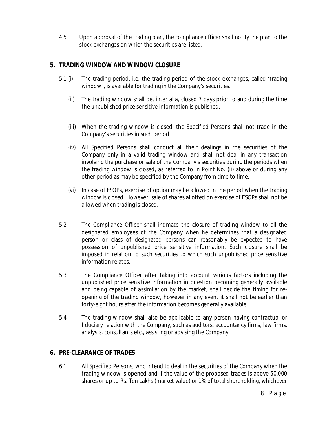4.5 Upon approval of the trading plan, the compliance officer shall notify the plan to the stock exchanges on which the securities are listed.

# **5. TRADING WINDOW AND WINDOW CLOSURE**

- 5.1 (i) The trading period, i.e. the trading period of the stock exchanges, called 'trading window", is available for trading in the Company's securities.
	- (ii) The trading window shall be, inter alia, closed 7 days prior to and during the time the unpublished price sensitive information is published.
	- (iii) When the trading window is closed, the Specified Persons shall not trade in the Company's securities in such period.
	- (iv) All Specified Persons shall conduct all their dealings in the securities of the Company only in a valid trading window and shall not deal in any transaction involving the purchase or sale of the Company's securities during the periods when the trading window is closed, as referred to in Point No. (ii) above or during any other period as may be specified by the Company from time to time.
	- (vi) In case of ESOPs, exercise of option may be allowed in the period when the trading window is closed. However, sale of shares allotted on exercise of ESOPs shall not be allowed when trading is closed.
- 5.2 The Compliance Officer shall intimate the closure of trading window to all the designated employees of the Company when he determines that a designated person or class of designated persons can reasonably be expected to have possession of unpublished price sensitive information. Such closure shall be imposed in relation to such securities to which such unpublished price sensitive information relates.
- 5.3 The Compliance Officer after taking into account various factors including the unpublished price sensitive information in question becoming generally available and being capable of assimilation by the market, shall decide the timing for reopening of the trading window, however in any event it shall not be earlier than forty-eight hours after the information becomes generally available.
- 5.4 The trading window shall also be applicable to any person having contractual or fiduciary relation with the Company, such as auditors, accountancy firms, law firms, analysts, consultants etc., assisting or advising the Company.

# **6. PRE-CLEARANCE OF TRADES**

6.1 All Specified Persons, who intend to deal in the securities of the Company when the trading window is opened and if the value of the proposed trades is above 50,000 shares or up to Rs. Ten Lakhs (market value) or 1% of total shareholding, whichever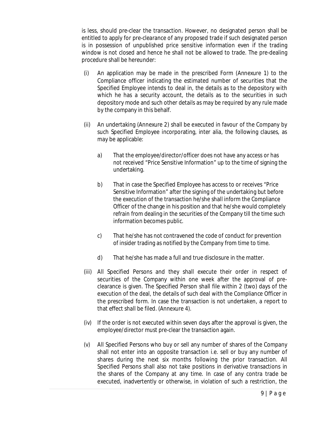is less, should pre-clear the transaction. However, no designated person shall be entitled to apply for pre-clearance of any proposed trade if such designated person is in possession of unpublished price sensitive information even if the trading window is not closed and hence he shall not be allowed to trade. The pre-dealing procedure shall be hereunder:

- (i) An application may be made in the prescribed Form (Annexure 1) to the Compliance officer indicating the estimated number of securities that the Specified Employee intends to deal in, the details as to the depository with which he has a security account, the details as to the securities in such depository mode and such other details as may be required by any rule made by the company in this behalf.
- (ii) An undertaking (Annexure 2) shall be executed in favour of the Company by such Specified Employee incorporating, inter alia, the following clauses, as may be applicable:
	- a) That the employee/director/officer does not have any access or has not received "Price Sensitive Information" up to the time of signing the undertaking.
	- b) That in case the Specified Employee has access to or receives "Price Sensitive Information" after the signing of the undertaking but before the execution of the transaction he/she shall inform the Compliance Officer of the change in his position and that he/she would completely refrain from dealing in the securities of the Company till the time such information becomes public.
	- c) That he/she has not contravened the code of conduct for prevention of insider trading as notified by the Company from time to time.
	- d) That he/she has made a full and true disclosure in the matter.
- (iii) All Specified Persons and they shall execute their order in respect of securities of the Company within one week after the approval of preclearance is given. The Specified Person shall file within 2 (two) days of the execution of the deal, the details of such deal with the Compliance Officer in the prescribed form. In case the transaction is not undertaken, a report to that effect shall be filed. (Annexure 4).
- (iv) If the order is not executed within seven days after the approval is given, the employee/director must pre-clear the transaction again.
- (v) All Specified Persons who buy or sell any number of shares of the Company shall not enter into an opposite transaction i.e. sell or buy any number of shares during the next six months following the prior transaction. All Specified Persons shall also not take positions in derivative transactions in the shares of the Company at any time. In case of any contra trade be executed, inadvertently or otherwise, in violation of such a restriction, the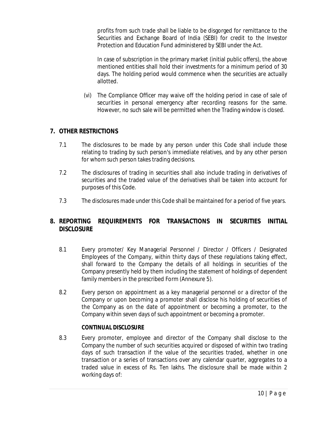profits from such trade shall be liable to be disgorged for remittance to the Securities and Exchange Board of India (SEBI) for credit to the Investor Protection and Education Fund administered by SEBI under the Act.

In case of subscription in the primary market (initial public offers), the above mentioned entities shall hold their investments for a minimum period of 30 days. The holding period would commence when the securities are actually allotted.

(vi) The Compliance Officer may waive off the holding period in case of sale of securities in personal emergency after recording reasons for the same. However, no such sale will be permitted when the Trading window is closed.

# **7. OTHER RESTRICTIONS**

- 7.1 The disclosures to be made by any person under this Code shall include those relating to trading by such person's immediate relatives, and by any other person for whom such person takes trading decisions.
- 7.2 The disclosures of trading in securities shall also include trading in derivatives of securities and the traded value of the derivatives shall be taken into account for purposes of this Code.
- 7.3 The disclosures made under this Code shall be maintained for a period of five years.

# **8. REPORTING REQUIREMENTS FOR TRANSACTIONS IN SECURITIES INITIAL DISCLOSURE**

- 8.1 Every promoter/ Key Managerial Personnel / Director / Officers / Designated Employees of the Company, within thirty days of these regulations taking effect, shall forward to the Company the details of all holdings in securities of the Company presently held by them including the statement of holdings of dependent family members in the prescribed Form (Annexure 5).
- 8.2 Every person on appointment as a key managerial personnel or a director of the Company or upon becoming a promoter shall disclose his holding of securities of the Company as on the date of appointment or becoming a promoter, to the Company within seven days of such appointment or becoming a promoter.

# **CONTINUAL DISCLOSURE**

8.3 Every promoter, employee and director of the Company shall disclose to the Company the number of such securities acquired or disposed of within two trading days of such transaction if the value of the securities traded, whether in one transaction or a series of transactions over any calendar quarter, aggregates to a traded value in excess of Rs. Ten lakhs. The disclosure shall be made within 2 working days of: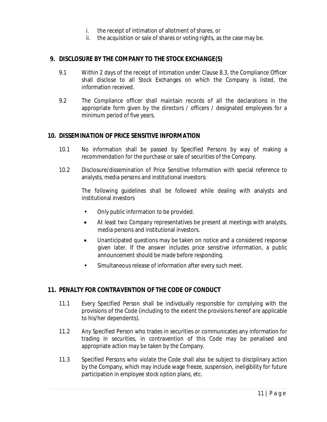- i. the receipt of intimation of allotment of shares, or
- ii. the acquisition or sale of shares or voting rights, as the case may be.

# **9. DISCLOSURE BY THE COMPANY TO THE STOCK EXCHANGE(S)**

- 9.1 Within 2 days of the receipt of intimation under Clause 8.3, the Compliance Officer shall disclose to all Stock Exchanges on which the Company is listed, the information received.
- 9.2 The Compliance officer shall maintain records of all the declarations in the appropriate form given by the directors / officers / designated employees for a minimum period of five years.

#### **10. DISSEMINATION OF PRICE SENSITIVE INFORMATION**

- 10.1 No information shall be passed by Specified Persons by way of making a recommendation for the purchase or sale of securities of the Company.
- 10.2 Disclosure/dissemination of Price Sensitive Information with special reference to analysts, media persons and institutional investors:

The following guidelines shall be followed while dealing with analysts and institutional investors

- Only public information to be provided.
- At least two Company representatives be present at meetings with analysts, media persons and institutional investors.
- Unanticipated questions may be taken on notice and a considered response given later. If the answer includes price sensitive information, a public announcement should be made before responding.
- Simultaneous release of information after every such meet.

# **11. PENALTY FOR CONTRAVENTION OF THE CODE OF CONDUCT**

- 11.1 Every Specified Person shall be individually responsible for complying with the provisions of the Code (including to the extent the provisions hereof are applicable to his/her dependents).
- 11.2 Any Specified Person who trades in securities or communicates any information for trading in securities, in contravention of this Code may be penalised and appropriate action may be taken by the Company.
- 11.3 Specified Persons who violate the Code shall also be subject to disciplinary action by the Company, which may include wage freeze, suspension, ineligibility for future participation in employee stock option plans, etc.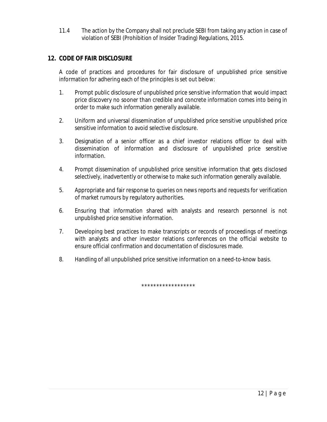11.4 The action by the Company shall not preclude SEBI from taking any action in case of violation of SEBI (Prohibition of Insider Trading) Regulations, 2015.

# **12. CODE OF FAIR DISCLOSURE**

A code of practices and procedures for fair disclosure of unpublished price sensitive information for adhering each of the principles is set out below:

- 1. Prompt public disclosure of unpublished price sensitive information that would impact price discovery no sooner than credible and concrete information comes into being in order to make such information generally available.
- 2. Uniform and universal dissemination of unpublished price sensitive unpublished price sensitive information to avoid selective disclosure.
- 3. Designation of a senior officer as a chief investor relations officer to deal with dissemination of information and disclosure of unpublished price sensitive information.
- 4. Prompt dissemination of unpublished price sensitive information that gets disclosed selectively, inadvertently or otherwise to make such information generally available.
- 5. Appropriate and fair response to queries on news reports and requests for verification of market rumours by regulatory authorities.
- 6. Ensuring that information shared with analysts and research personnel is not unpublished price sensitive information.
- 7. Developing best practices to make transcripts or records of proceedings of meetings with analysts and other investor relations conferences on the official website to ensure official confirmation and documentation of disclosures made.
- 8. Handling of all unpublished price sensitive information on a need-to-know basis.

\*\*\*\*\*\*\*\*\*\*\*\*\*\*\*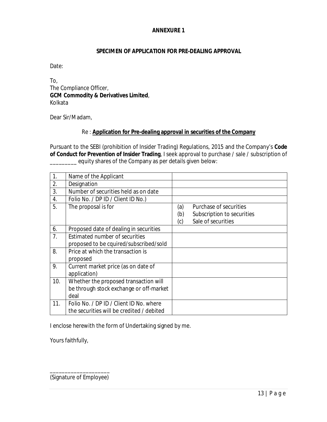# **SPECIMEN OF APPLICATION FOR PRE-DEALING APPROVAL**

Date:

To, The Compliance Officer, **GCM Commodity & Derivatives Limited**, Kolkata

Dear Sir/Madam,

#### Re : **Application for Pre-dealing approval in securities of the Company**

Pursuant to the SEBI (prohibition of Insider Trading) Regulations, 2015 and the Company's **Code of Conduct for Prevention of Insider Trading**, I seek approval to purchase / sale / subscription of equity shares of the Company as per details given below:

| 1.             | Name of the Applicant                     |     |                            |
|----------------|-------------------------------------------|-----|----------------------------|
| 2.             | Designation                               |     |                            |
| 3.             | Number of securities held as on date      |     |                            |
| 4.             | Folio No. / DP ID / Client ID No.)        |     |                            |
| 5.             | The proposal is for                       | (a) | Purchase of securities     |
|                |                                           | (b) | Subscription to securities |
|                |                                           | (c) | Sale of securities         |
| 6.             | Proposed date of dealing in securities    |     |                            |
| 7 <sub>1</sub> | Estimated number of securities            |     |                            |
|                | proposed to be cquired/subscribed/sold    |     |                            |
| 8.             | Price at which the transaction is         |     |                            |
|                | proposed                                  |     |                            |
| 9.             | Current market price (as on date of       |     |                            |
|                | application)                              |     |                            |
| 10.            | Whether the proposed transaction will     |     |                            |
|                | be through stock exchange or off-market   |     |                            |
|                | deal                                      |     |                            |
| 11.            | Folio No. / DP ID / Client ID No. where   |     |                            |
|                | the securities will be credited / debited |     |                            |

I enclose herewith the form of Undertaking signed by me.

Yours faithfully,

\_\_\_\_\_\_\_\_\_\_\_\_\_\_\_\_\_\_\_\_ (Signature of Employee)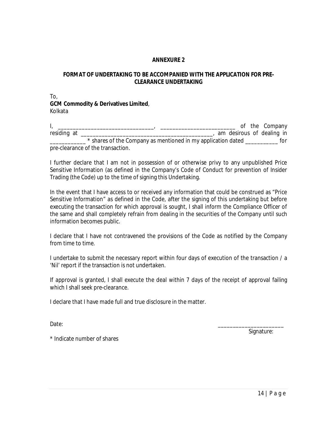# **FORMAT OF UNDERTAKING TO BE ACCOMPANIED WITH THE APPLICATION FOR PRE-CLEARANCE UNDERTAKING**

To, **GCM Commodity & Derivatives Limited**, Kolkata

I, \_\_\_\_\_\_\_\_\_\_\_\_\_\_\_\_\_\_\_\_\_\_\_\_\_\_\_\_\_\_\_\_, \_\_\_\_\_\_\_\_\_\_\_\_\_\_\_\_\_\_\_\_\_\_\_\_\_ of the Company residing at \_\_\_\_\_\_\_\_\_\_\_\_\_\_\_\_\_\_\_\_\_\_\_\_\_\_\_\_\_\_\_\_\_\_\_\_\_\_\_\_\_\_\_\_, am desirous of dealing in \_\_\_\_\_\_\_\_\_\_\_\_ \* shares of the Company as mentioned in my application dated \_\_\_\_\_\_\_\_\_\_\_ for pre-clearance of the transaction.

I further declare that I am not in possession of or otherwise privy to any unpublished Price Sensitive Information (as defined in the Company's Code of Conduct for prevention of Insider Trading (the Code) up to the time of signing this Undertaking.

In the event that I have access to or received any information that could be construed as "Price Sensitive Information" as defined in the Code, after the signing of this undertaking but before executing the transaction for which approval is sought, I shall inform the Compliance Officer of the same and shall completely refrain from dealing in the securities of the Company until such information becomes public.

I declare that I have not contravened the provisions of the Code as notified by the Company from time to time.

I undertake to submit the necessary report within four days of execution of the transaction / a 'Nil' report if the transaction is not undertaken.

If approval is granted, I shall execute the deal within 7 days of the receipt of approval failing which I shall seek pre-clearance.

I declare that I have made full and true disclosure in the matter.

Date: \_\_\_\_\_\_\_\_\_\_\_\_\_\_\_\_\_\_\_\_\_\_

Signature:

\* Indicate number of shares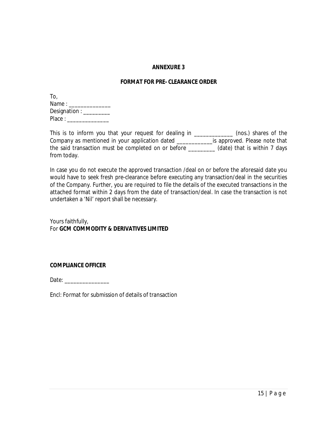#### **FORMAT FOR PRE- CLEARANCE ORDER**

| To,                                    |
|----------------------------------------|
| Name : $\overline{\phantom{a}}$        |
| Designation : $\overline{\phantom{a}}$ |
| Place:                                 |

This is to inform you that your request for dealing in \_\_\_\_\_\_\_\_\_\_\_\_\_ (nos.) shares of the Company as mentioned in your application dated \_\_\_\_\_\_\_\_\_\_\_\_is approved. Please note that the said transaction must be completed on or before \_\_\_\_\_\_\_\_\_ (date) that is within 7 days from today.

In case you do not execute the approved transaction /deal on or before the aforesaid date you would have to seek fresh pre-clearance before executing any transaction/deal in the securities of the Company. Further, you are required to file the details of the executed transactions in the attached format within 2 days from the date of transaction/deal. In case the transaction is not undertaken a 'Nil' report shall be necessary.

Yours faithfully, For **GCM COMMODITY & DERIVATIVES LIMITED**

**COMPLIANCE OFFICER**

Date:

Encl: Format for submission of details of transaction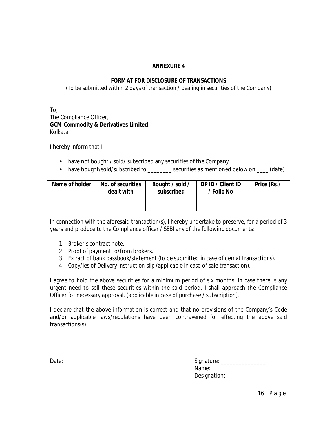# **FORMAT FOR DISCLOSURE OF TRANSACTIONS**

*(To be submitted within 2 days of transaction / dealing in securities of the Company)*

To, The Compliance Officer, **GCM Commodity & Derivatives Limited**, Kolkata

I hereby inform that I

- have not bought / sold/ subscribed any securities of the Company
- have bought/sold/subscribed to \_\_\_\_\_\_\_\_ securities as mentioned below on \_\_\_\_ (date)

| Name of holder | No. of securities<br>dealt with | Bought / sold /<br>subscribed | DP ID / Client ID<br>' Folio No | Price (Rs.) |
|----------------|---------------------------------|-------------------------------|---------------------------------|-------------|
|                |                                 |                               |                                 |             |
|                |                                 |                               |                                 |             |

In connection with the aforesaid transaction(s), I hereby undertake to preserve, for a period of 3 years and produce to the Compliance officer / SEBI any of the following documents:

- 1. Broker's contract note.
- 2. Proof of payment to/from brokers.
- 3. Extract of bank passbook/statement (to be submitted in case of demat transactions).
- 4. Copy/ies of Delivery instruction slip (applicable in case of sale transaction).

I agree to hold the above securities for a minimum period of six months. In case there is any urgent need to sell these securities within the said period, I shall approach the Compliance Officer for necessary approval. (*applicable in case of purchase / subscription*).

I declare that the above information is correct and that no provisions of the Company's Code and/or applicable laws/regulations have been contravened for effecting the above said transactions(s).

| Date: | Signature:   |
|-------|--------------|
|       | Name:        |
|       | Designation: |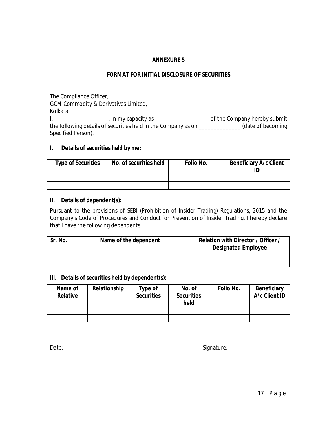# **FORMAT FOR INITIAL DISCLOSURE OF SECURITIES**

The Compliance Officer, GCM Commodity & Derivatives Limited, Kolkata

I, \_\_\_\_\_\_\_\_\_\_\_\_\_\_\_\_\_\_, in my capacity as \_\_\_\_\_\_\_\_\_\_\_\_\_\_\_\_\_\_ of the Company hereby submit the following details of securities held in the Company as on \_\_\_\_\_\_\_\_\_\_\_\_\_\_ (date of becoming Specified Person).

# **I. Details of securities held by me:**

| <b>Type of Securities</b> | No. of securities held | Folio No. | <b>Beneficiary A/c Client</b> |
|---------------------------|------------------------|-----------|-------------------------------|
|                           |                        |           |                               |
|                           |                        |           |                               |

#### **II. Details of dependent(s):**

Pursuant to the provisions of SEBI (Prohibition of Insider Trading) Regulations, 2015 and the Company's Code of Procedures and Conduct for Prevention of Insider Trading, I hereby declare that I have the following dependents:

| Sr. No. | Name of the dependent | Relation with Director / Officer<br><b>Designated Employee</b> |
|---------|-----------------------|----------------------------------------------------------------|
|         |                       |                                                                |
|         |                       |                                                                |

#### **III. Details of securities held by dependent(s):**

| Name of<br><b>Relative</b> | Relationship | Type of<br><b>Securities</b> | No. of<br><b>Securities</b><br>held | Folio No. | <b>Beneficiary</b><br>A/c Client ID |
|----------------------------|--------------|------------------------------|-------------------------------------|-----------|-------------------------------------|
|                            |              |                              |                                     |           |                                     |
|                            |              |                              |                                     |           |                                     |

Date: Signature: \_\_\_\_\_\_\_\_\_\_\_\_\_\_\_\_\_\_\_